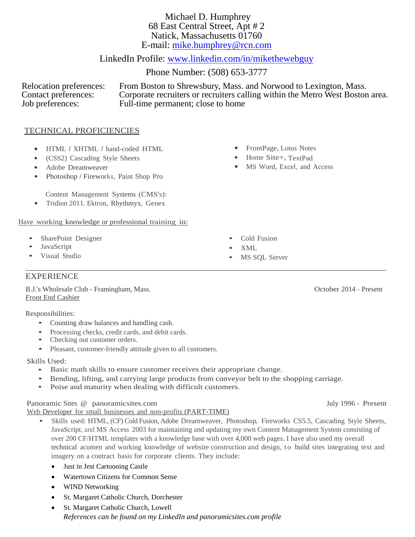Michael D. Humphrey 68 East Central Street, Apt # 2 Natick, Massachusetts 01760 E-mail: [mike.humphrey@rcn.com](mailto:mike.humphrey@rcn.com)

# LinkedIn Profile: [www.linkedin.com/in/mikethewebguy](http://www.linkedin.com/in/mikethewebguy)

Phone Number: (508) 653-3777

Relocation preferences: From Boston to Shrewsbury, Mass. and Norwood to Lexington, Mass. Contact preferences: Corporate recruiters or recruiters calling within the Metro West Boston area.<br>Job preferences: Full-time permanent; close to home Full-time permanent; close to home

# TECHNICAL PROFICIENCIES

- HTML *<sup>I</sup>*XHTML *I* hand-coded HTML
- (CSS2) Cascading Style Sheets
- Adobe Dreamweaver
- Photoshop / Fireworks, Paint Shop Pro

Content Management Systems (CMS's):

• Tridion 2011. Ektron, Rhythmyx, Genex

### Have working knowledge or professional training in:

- SharePoint Designer
- JavaScript
- Visual Studio

# EXPERIENCE

B.J.'s Wholesale Club - Framingham, Mass. October 2014 - Present Front End Cashier

Responsibilities:

- Counting draw balances and handling cash.
- Processing checks, credit cards, and debit cards.
- Checking out customer orders.
- Pleasant, customer-friendly attitude given to all customers.

Skills Used:

- Basic math skills to ensure customer receives their appropriate change.
- Bending, lifting, and carrying large products from conveyor belt to the shopping carriage.
- Poise and maturity when dealing with difficult customers.

### Panoramic Sites @ [panoramicsites.com](http://www.panoramicsites.com/) July 1996 - Present

Web Developer for small businesses and non-profits (PART-TIME)

- Skills used: HTML, (CF) Cold Fusion, Adobe Dreamweaver, Photoshop, Fireworks CS5.5, Cascading Style Sheets, JavaScript, and MS Access 2003 for maintaining and updating my own Content Management System consisting of over 200 CF/HTML templates with a knowledge base with over 4,000 web pages. I have also used my overall technical acumen and working knowledge of website construction and design, to build sites integrating text and imagery on a contract basis for corporate clients. They include:
	- Just in Jest Cartooning Castle
	- Watertown Citizens for Common Sense
	- WIND Networking
	- St. Margaret Catholic Church, Dorchester
	- St. Margaret Catholic Church, Lowell *References can be found on my LinkedIn and panoramicsites.com profile*
- FrontPage, Lotus Notes
- Home Site+, TextPad
- MS Word, Excel, and Access

- Cold Fusion
- MS SQL Server

• XML \_\_\_\_\_\_\_\_\_\_\_\_\_\_\_\_\_\_\_\_\_\_\_\_\_\_\_\_\_\_\_\_\_\_\_\_\_\_\_\_\_\_\_\_\_\_\_\_\_\_\_\_\_\_\_\_\_\_\_\_\_\_\_\_\_\_\_\_\_\_\_\_\_\_\_\_\_\_\_\_\_\_\_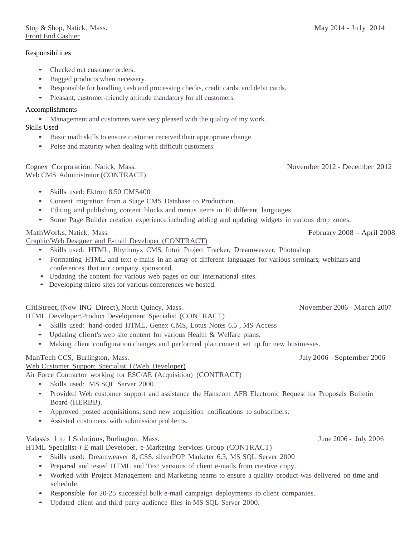### Responsibilities

- Checked out customer orders.
- Bagged products when necessary.
- Responsible for handling cash and processing checks, credit cards, and debit cards.
- Pleasant, customer-friendly attitude mandatory for all customers.

### Accomplishments

• Management and customers were very pleased with the quality of my work. Skills Used

- Basic math skills to ensure customer received their appropriate change.
- Poise and maturity when dealing with difficult customers.

#### Cognex Corporation, Natick, Mass. November 2012 - December 2012 Web CMS Administrator (CONTRACT)

- Skills used: Ektron 8.50 CMS400
- Content migration from a Stage CMS Database to Production.
- Editing and publishing content blocks and menus items in 10 different languages
- Some Page Builder creation experience including adding and updating widgets in various drop zones.

# MathWorks, Natick, Mass. February 2008 – April 2008

Graphic/Web Designer and E-mail Developer (CONTRACT)

- Skills used: HTML, Rhythmyx CMS, Intuit Project Tracker, Dreamweaver, Photoshop
- Formatting HTML and text e-mails in an array of different languages for various seminars, webinars and conferences that our company sponsored.
- Updating the content for various web pages on our international sites.
- Developing micro sites for various conferences we hosted.

CitiStreet, (Now ING Direct), North Quincy, Mass. November 2006 - March 2007

HTML Developer\Product Development Specialist (CONTRACT)

- Skills used: hand-coded HTML, Genex CMS, Lotus Notes 6.5 , MS Access
- Updating client's web site content for various Health & Welfare plans.
- Making client configuration changes and performed plan content set up for new businesses.

# ManTech CCS, Burlington, Mass. July 2006 - September 2006

Web Customer Support Specialist I (Web Developer)

Air Force Contractor working for ESC/AE (Acquisition) (CONTRACT)

- Skills used: MS SQL Server 2000
- Provided Web customer support and assistance the Hanscom AFB Electronic Request for Proposals Bulletin Board (HERBB).
- Approved posted acquisitions; send new acquisition notifications to subscribers.
- Assisted customers with submission problems.

# Valassis 1to 1Solutions, Burlington, Mass. June 2006 - July 2006

HTML Specialist *I* E-mail Developer, e-Marketing Services Group (CONTRACT)

- Skills used: Dreamweaver 8, CSS, silverPOP Marketer 6.3, MS SQL Server 2000
- Prepared and tested HTML and Text versions of client e-mails from creative copy.
- Worked with Project Management and Marketing teams to ensure a quality product was delivered on time and schedule.
- Responsible for 20-25 successful bulk e-mail campaign deployments to client companies.
- Updated client and third party audience files in MS SQL Server 2000.